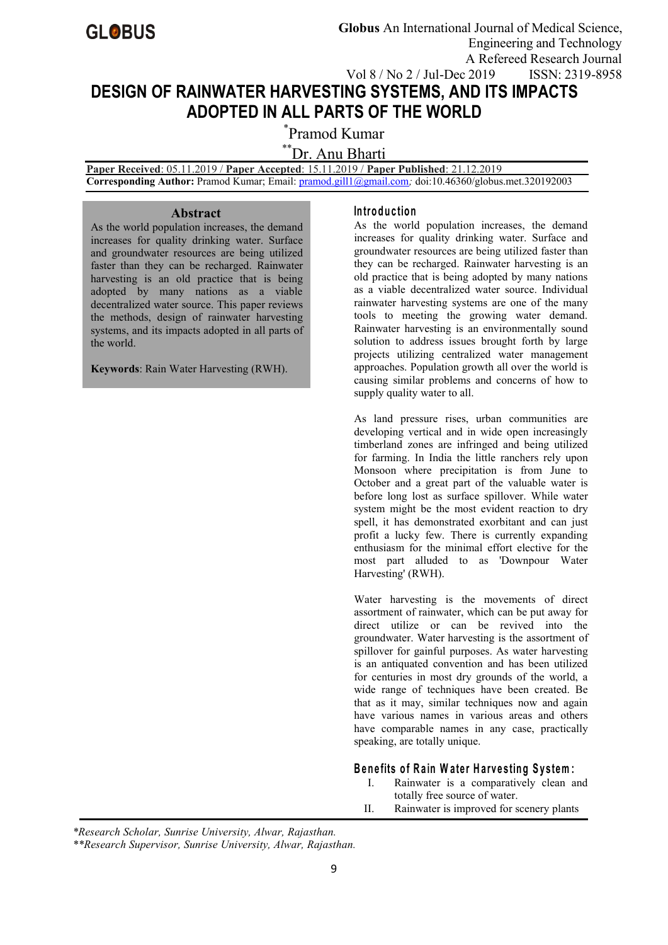

# **DESIGN OF RAINWATER HARVESTING SYSTEMS, AND ITS IMPACTS ADOPTED IN ALL PARTS OF THE WORLD**

\*Pramod Kumar

\*\*Dr. Anu Bharti

**Paper Received**: 05.11.2019 / **Paper Accepted**: 15.11.2019 / **Paper Published**: 21.12.2019

**Corresponding Author:** Pramod Kumar; Email: [pramod.gill1@gmail.com](mailto:pramod.gill1@gmail.com)*;* doi:10.46360/globus.met.320192003

### **Abstract**

As the world population increases, the demand increases for quality drinking water. Surface and groundwater resources are being utilized faster than they can be recharged. Rainwater harvesting is an old practice that is being adopted by many nations as a viable decentralized water source. This paper reviews the methods, design of rainwater harvesting systems, and its impacts adopted in all parts of the world.

**Keywords**: Rain Water Harvesting (RWH).

# **In tro d u c tio n**

As the world population increases, the demand increases for quality drinking water. Surface and groundwater resources are being utilized faster than they can be recharged. Rainwater harvesting is an old practice that is being adopted by many nations as a viable decentralized water source. Individual rainwater harvesting systems are one of the many tools to meeting the growing water demand. Rainwater harvesting is an environmentally sound solution to address issues brought forth by large projects utilizing centralized water management approaches. Population growth all over the world is causing similar problems and concerns of how to supply quality water to all.

As land pressure rises, urban communities are developing vertical and in wide open increasingly timberland zones are infringed and being utilized for farming. In India the little ranchers rely upon Monsoon where precipitation is from June to October and a great part of the valuable water is before long lost as surface spillover. While water system might be the most evident reaction to dry spell, it has demonstrated exorbitant and can just profit a lucky few. There is currently expanding enthusiasm for the minimal effort elective for the most part alluded to as 'Downpour Water Harvesting' (RWH).

Water harvesting is the movements of direct assortment of rainwater, which can be put away for direct utilize or can be revived into the groundwater. Water harvesting is the assortment of spillover for gainful purposes. As water harvesting is an antiquated convention and has been utilized for centuries in most dry grounds of the world, a wide range of techniques have been created. Be that as it may, similar techniques now and again have various names in various areas and others have comparable names in any case, practically speaking, are totally unique.

# Benefits of Rain Water Harvesting System:

- I. Rainwater is a comparatively clean and totally free source of water.
- II. Rainwater is improved for scenery plants

*\*Research Scholar, Sunrise University, Alwar, Rajasthan.*

*\*\*Research Supervisor, Sunrise University, Alwar, Rajasthan.*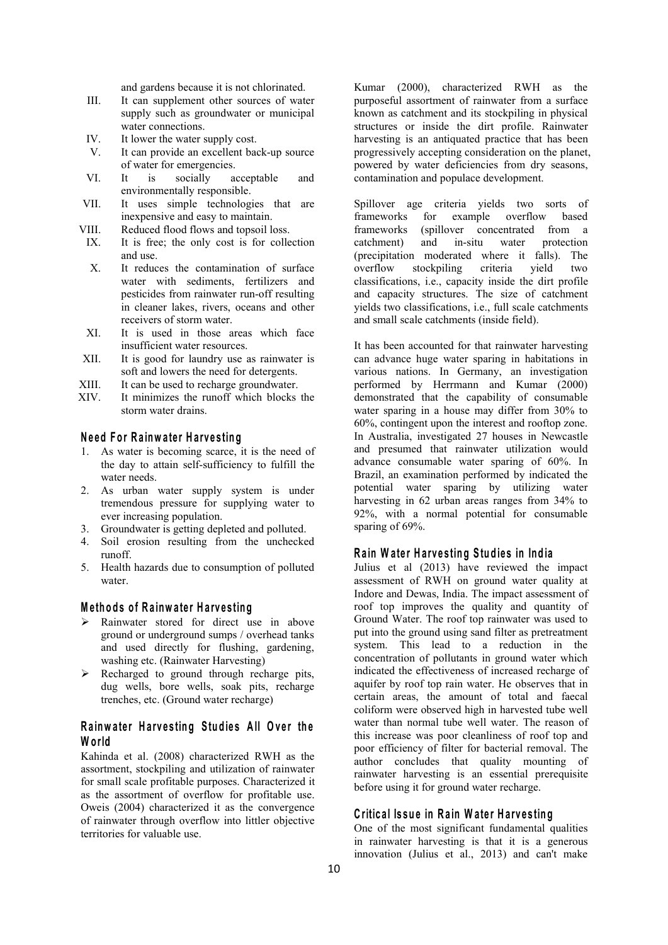and gardens because it is not chlorinated.

- III. It can supplement other sources of water supply such as groundwater or municipal water connections.
- IV. It lower the water supply cost.
- V. It can provide an excellent back-up source of water for emergencies.<br>It is socially a
- environmentally responsible.
- VII. It uses simple technologies that are inexpensive and easy to maintain.
- VIII. Reduced flood flows and topsoil loss.
- IX. It is free; the only cost is for collection catchment) and and use.
- X. It reduces the contamination of surface overflow water with sediments, fertilizers and pesticides from rainwater run-off resulting in cleaner lakes, rivers, oceans and other receivers of storm water.
- XI. It is used in those areas which face insufficient water resources.
- XII. It is good for laundry use as rainwater is soft and lowers the need for detergents.
- XIII. It can be used to recharge groundwater.
- XIV. It minimizes the runoff which blocks the storm water drains.

# **N e ed F o r R a inw a te r H a rve s tin g**

- 1. As water is becoming scarce, it is the need of the day to attain self-sufficiency to fulfill the water needs.
- 2. As urban water supply system is under tremendous pressure for supplying water to ever increasing population.
- 3. Groundwater is getting depleted and polluted.
- 4. Soil erosion resulting from the unchecked runoff.
- 5. Health hazards due to consumption of polluted water.

### **M e th o d s o f R a inw a te r H a rve s tin g**

- $\triangleright$  Rainwater stored for direct use in above ground or underground sumps / overhead tanks and used directly for flushing, gardening, washing etc. (Rainwater Harvesting)
- $\triangleright$  Recharged to ground through recharge pits, dug wells, bore wells, soak pits, recharge trenches, etc. (Ground water recharge)

# Rainwater Harvesting Studies All Over the **W o rld**

Kahinda et al. (2008) characterized RWH as the assortment, stockpiling and utilization of rainwater for small scale profitable purposes. Characterized it as the assortment of overflow for profitable use. Oweis (2004) characterized it as the convergence of rainwater through overflow into littler objective territories for valuable use.

VI. It is socially acceptable and contamination and populace development. Kumar (2000), characterized RWH as the purposeful assortment of rainwater from a surface known as catchment and its stockpiling in physical structures or inside the dirt profile. Rainwater harvesting is an antiquated practice that has been progressively accepting consideration on the planet, powered by water deficiencies from dry seasons,

> Spillover age criteria yields two sorts of frameworks for example overflow based frameworks (spillover concentrated from a in-situ water protection (precipitation moderated where it falls). The stockpiling criteria yield two classifications, i.e., capacity inside the dirt profile and capacity structures. The size of catchment yields two classifications, i.e., full scale catchments and small scale catchments (inside field).

It has been accounted for that rainwater harvesting can advance huge water sparing in habitations in various nations. In Germany, an investigation performed by Herrmann and Kumar (2000) demonstrated that the capability of consumable water sparing in a house may differ from 30% to 60%, contingent upon the interest and rooftop zone. In Australia, investigated 27 houses in Newcastle and presumed that rainwater utilization would advance consumable water sparing of 60%. In Brazil, an examination performed by indicated the potential water sparing by utilizing water harvesting in 62 urban areas ranges from 34% to 92%, with a normal potential for consumable sparing of 69%.

#### **R a in W a te r H a rv e s tin g S tu d ie s in In d ia**

Julius et al (2013) have reviewed the impact assessment of RWH on ground water quality at Indore and Dewas, India. The impact assessment of roof top improves the quality and quantity of Ground Water. The roof top rainwater was used to put into the ground using sand filter as pretreatment system. This lead to a reduction in the concentration of pollutants in ground water which indicated the effectiveness of increased recharge of aquifer by roof top rain water. He observes that in certain areas, the amount of total and faecal coliform were observed high in harvested tube well water than normal tube well water. The reason of this increase was poor cleanliness of roof top and poor efficiency of filter for bacterial removal. The author concludes that quality mounting of rainwater harvesting is an essential prerequisite before using it for ground water recharge.

## **C ritic a l Is su e in R a in W a te r H a rv e s tin g**

One of the most significant fundamental qualities in rainwater harvesting is that it is a generous innovation (Julius et al., 2013) and can't make